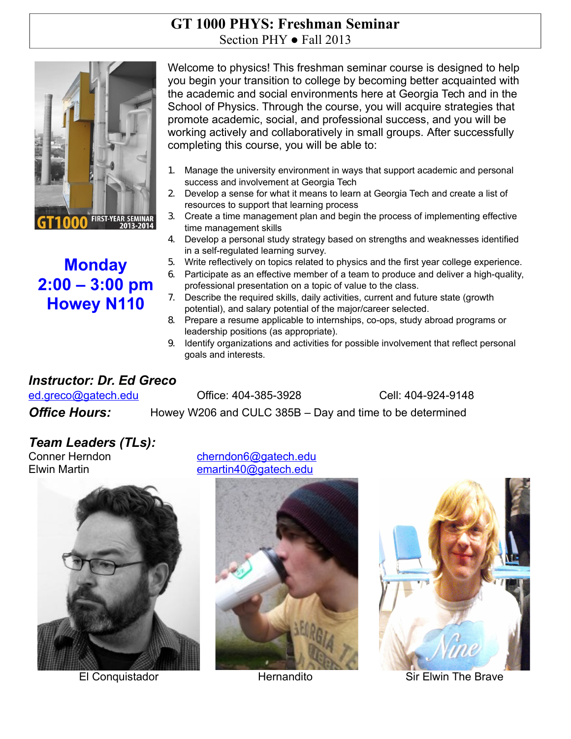### **GT 1000 PHYS: Freshman Seminar** Section PHY  $\bullet$  Fall 2013



# **Monday 2:00 – 3:00 pm Howey N110**

Welcome to physics! This freshman seminar course is designed to help you begin your transition to college by becoming better acquainted with the academic and social environments here at Georgia Tech and in the School of Physics. Through the course, you will acquire strategies that promote academic, social, and professional success, and you will be working actively and collaboratively in small groups. After successfully completing this course, you will be able to:

- 1. Manage the university environment in ways that support academic and personal success and involvement at Georgia Tech
- 2. Develop a sense for what it means to learn at Georgia Tech and create a list of resources to support that learning process
- 3. Create a time management plan and begin the process of implementing effective time management skills
- 4. Develop a personal study strategy based on strengths and weaknesses identified in a self-regulated learning survey.
- 5. Write reflectively on topics related to physics and the first year college experience.
- 6. Participate as an effective member of a team to produce and deliver a high-quality, professional presentation on a topic of value to the class.
- 7. Describe the required skills, daily activities, current and future state (growth potential), and salary potential of the major/career selected.
- 8. Prepare a resume applicable to internships, co-ops, study abroad programs or leadership positions (as appropriate).
- 9. Identify organizations and activities for possible involvement that reflect personal goals and interests.

# *Instructor: Dr. Ed Greco*

 ed.grec[o@gatech.edu](mailto:burdell@gatech.edu) Office: 404-385-3928 Cell: 404-924-9148 **Office Hours:** Howey W206 and CULC 385B – Day and time to be determined

# *Team Leaders (TLs):*



Conner Herndon cherndon[6@gatech.edu](mailto:hgorti3@gatech.edu) Elwin Martin emartin40@gatech.edu





El Conquistador **Hernandito** Hernandito Sir Elwin The Brave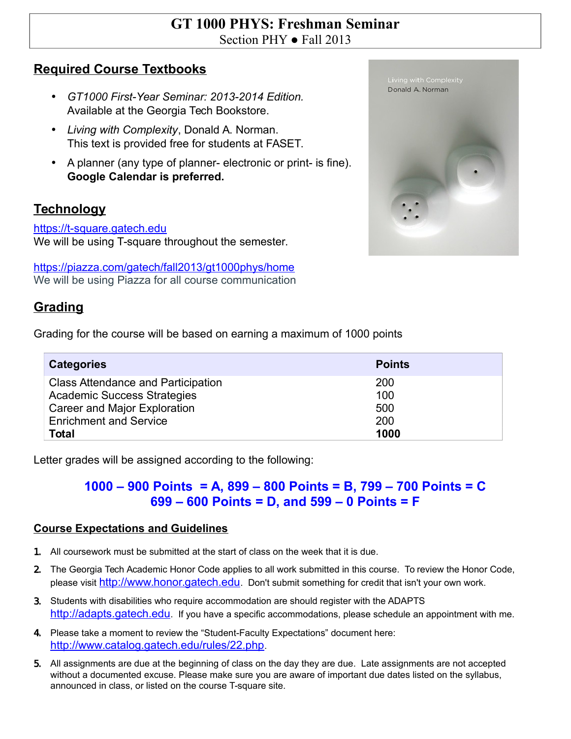### **GT 1000 PHYS: Freshman Seminar** Section PHY  $\bullet$  Fall 2013

### **Required Course Textbooks**

- *GT1000 First-Year Seminar: 2013-2014 Edition.* Available at the Georgia Tech Bookstore.
- *Living with Complexity*, Donald A. Norman. This text is provided free for students at FASET.
- A planner (any type of planner- electronic or print- is fine). **Google Calendar is preferred.**

# **Technology**

#### [https://t-square.gatech.edu](https://t-square.gatech.edu/)

We will be using T-square throughout the semester.

<https://piazza.com/gatech/fall2013/gt1000phys/home> We will be using Piazza for all course communication

## **Grading**

Grading for the course will be based on earning a maximum of 1000 points

| <b>Categories</b>                         | <b>Points</b> |
|-------------------------------------------|---------------|
| <b>Class Attendance and Participation</b> | 200           |
| <b>Academic Success Strategies</b>        | 100           |
| Career and Major Exploration              | 500           |
| <b>Enrichment and Service</b>             | 200           |
| <b>Total</b>                              | 1000          |

Letter grades will be assigned according to the following:

### **1000 – 900 Points = A, 899 – 800 Points = B, 799 – 700 Points = C 699 – 600 Points = D, and 599 – 0 Points = F**

#### **Course Expectations and Guidelines**

- 1. All coursework must be submitted at the start of class on the week that it is due.
- 2. The Georgia Tech Academic Honor Code applies to all work submitted in this course. To review the Honor Code, please visit [http://www.honor.gatech.edu](http://www.honor.gatech.edu/). Don't submit something for credit that isn't your own work.
- 3. Students with disabilities who require accommodation are should register with the ADAPTS [http://adapts.gatech.edu](http://adapts.gatech.edu/). If you have a specific accommodations, please schedule an appointment with me.
- 4. Please take a moment to review the "Student-Faculty Expectations" document here: <http://www.catalog.gatech.edu/rules/22.php>.
- 5. All assignments are due at the beginning of class on the day they are due. Late assignments are not accepted without a documented excuse. Please make sure you are aware of important due dates listed on the syllabus, announced in class, or listed on the course T-square site.

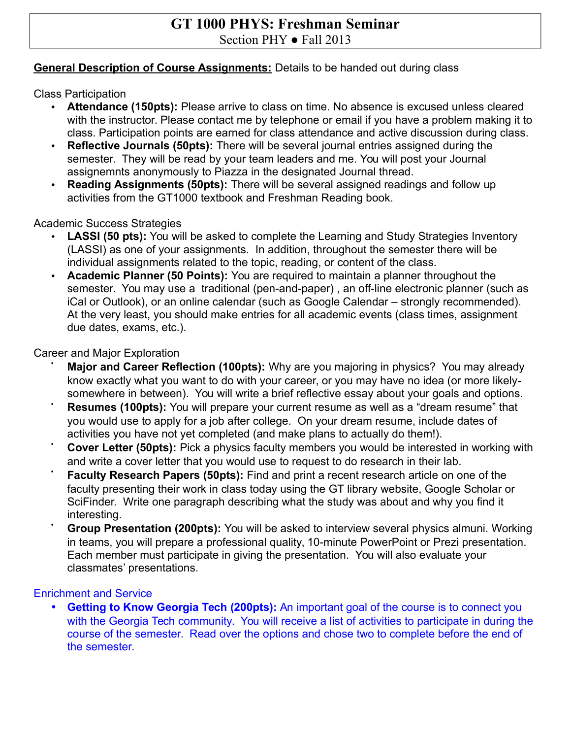### **GT 1000 PHYS: Freshman Seminar** Section PHY  $\bullet$  Fall 2013

#### **General Description of Course Assignments:** Details to be handed out during class

Class Participation

- **Attendance (150pts):** Please arrive to class on time. No absence is excused unless cleared with the instructor. Please contact me by telephone or email if you have a problem making it to class. Participation points are earned for class attendance and active discussion during class.
- **Reflective Journals (50pts):** There will be several journal entries assigned during the semester. They will be read by your team leaders and me. You will post your Journal assignemnts anonymously to Piazza in the designated Journal thread.
- **Reading Assignments (50pts):** There will be several assigned readings and follow up activities from the GT1000 textbook and Freshman Reading book.

Academic Success Strategies

- **LASSI (50 pts):** You will be asked to complete the Learning and Study Strategies Inventory (LASSI) as one of your assignments. In addition, throughout the semester there will be individual assignments related to the topic, reading, or content of the class.
- **Academic Planner (50 Points):** You are required to maintain a planner throughout the semester. You may use a traditional (pen-and-paper) , an off-line electronic planner (such as iCal or Outlook), or an online calendar (such as Google Calendar – strongly recommended). At the very least, you should make entries for all academic events (class times, assignment due dates, exams, etc.).

Career and Major Exploration

- **Major and Career Reflection (100pts):** Why are you majoring in physics? You may already know exactly what you want to do with your career, or you may have no idea (or more likelysomewhere in between). You will write a brief reflective essay about your goals and options.
- **Resumes (100pts):** You will prepare your current resume as well as a "dream resume" that you would use to apply for a job after college. On your dream resume, include dates of activities you have not yet completed (and make plans to actually do them!).
- **Cover Letter (50pts):** Pick a physics faculty members you would be interested in working with and write a cover letter that you would use to request to do research in their lab.
- **Faculty Research Papers (50pts):** Find and print a recent research article on one of the faculty presenting their work in class today using the GT library website, Google Scholar or SciFinder. Write one paragraph describing what the study was about and why you find it interesting.
- **Group Presentation (200pts):** You will be asked to interview several physics almuni. Working in teams, you will prepare a professional quality, 10-minute PowerPoint or Prezi presentation. Each member must participate in giving the presentation. You will also evaluate your classmates' presentations.

#### Enrichment and Service

• **Getting to Know Georgia Tech (200pts):** An important goal of the course is to connect you with the Georgia Tech community. You will receive a list of activities to participate in during the course of the semester. Read over the options and chose two to complete before the end of the semester.